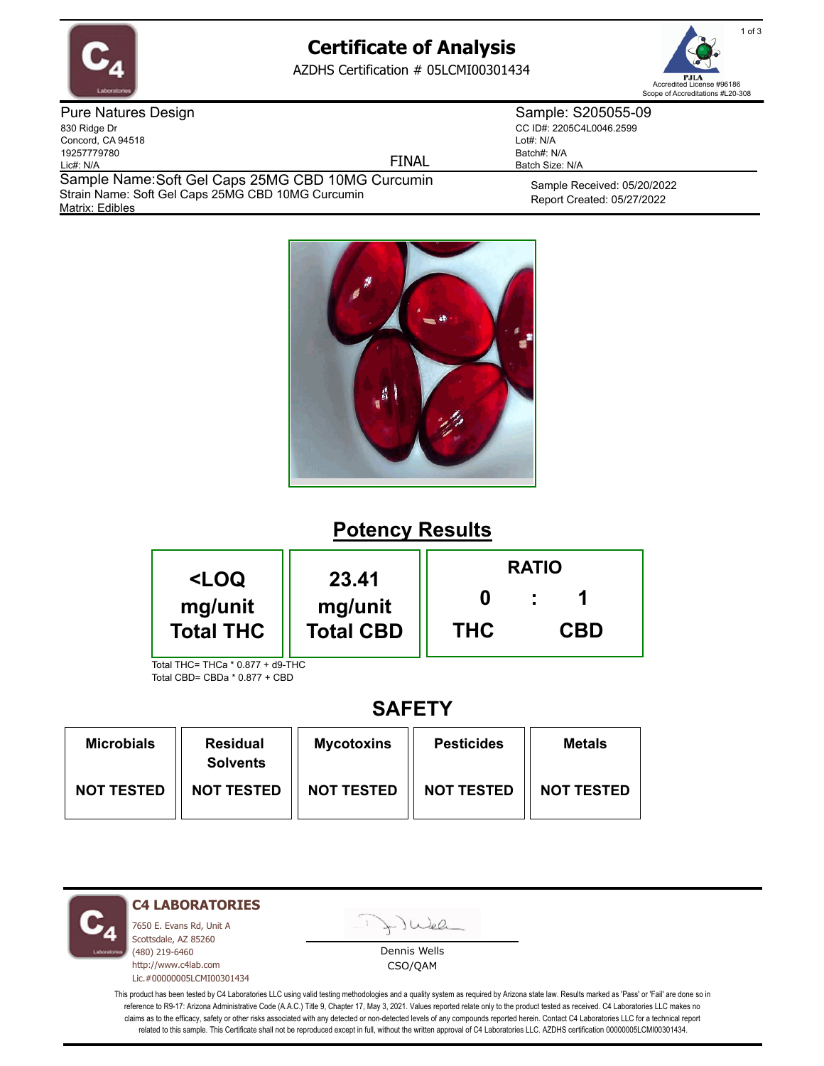

# **Certificate of Analysis**

AZDHS Certification # 05LCMI00301434



Pure Natures Design 830 Ridge Dr Concord, CA 94518 19257779780 Lic#: N/A

FINAL

Matrix: Edibles Sample Name: Soft Gel Caps 25MG CBD 10MG Curcumin Strain Name: Soft Gel Caps 25MG CBD 10MG Curcumin

Sample Received: 05/20/2022 Report Created: 05/27/2022

Sample: S205055-09 CC ID#: 2205C4L0046.2599

Lot#: N/A Batch#: N/A Batch Size: N/A



# **Potency Results**

| <loq< th=""><th>23.41</th><th colspan="3"><b>RATIO</b></th></loq<> | 23.41                       | <b>RATIO</b> |            |  |
|--------------------------------------------------------------------|-----------------------------|--------------|------------|--|
| mg/unit<br><b>Total THC</b>                                        | mg/unit<br><b>Total CBD</b> | <b>THC</b>   | <b>CBD</b> |  |
| Total THC= THCa * 0.877 + d9-THC                                   |                             |              |            |  |

Total CBD= CBDa \* 0.877 + CBD

## **SAFETY**

| <b>Microbials</b> | <b>Residual</b><br><b>Solvents</b> | <b>Mycotoxins</b> | <b>Pesticides</b> | <b>Metals</b>     |
|-------------------|------------------------------------|-------------------|-------------------|-------------------|
| <b>NOT TESTED</b> | <b>NOT TESTED</b>                  | <b>NOT TESTED</b> | <b>NOT TESTED</b> | <b>NOT TESTED</b> |

**C4 LABORATORIES**

7650 E. Evans Rd, Unit A Scottsdale, AZ 85260 (480) 219-6460 http://www.c4lab.com Lic.#00000005LCMI00301434 Juel

Dennis Wells CSO/QAM

This product has been tested by C4 Laboratories LLC using valid testing methodologies and a quality system as required by Arizona state law. Results marked as 'Pass' or 'Fail' are done so in reference to R9-17: Arizona Administrative Code (A.A.C.) Title 9, Chapter 17, May 3, 2021. Values reported relate only to the product tested as received. C4 Laboratories LLC makes no claims as to the efficacy, safety or other risks associated with any detected or non-detected levels of any compounds reported herein. Contact C4 Laboratories LLC for a technical report related to this sample. This Certificate shall not be reproduced except in full, without the written approval of C4 Laboratories LLC. AZDHS certification 00000005LCMI00301434.

1 of 3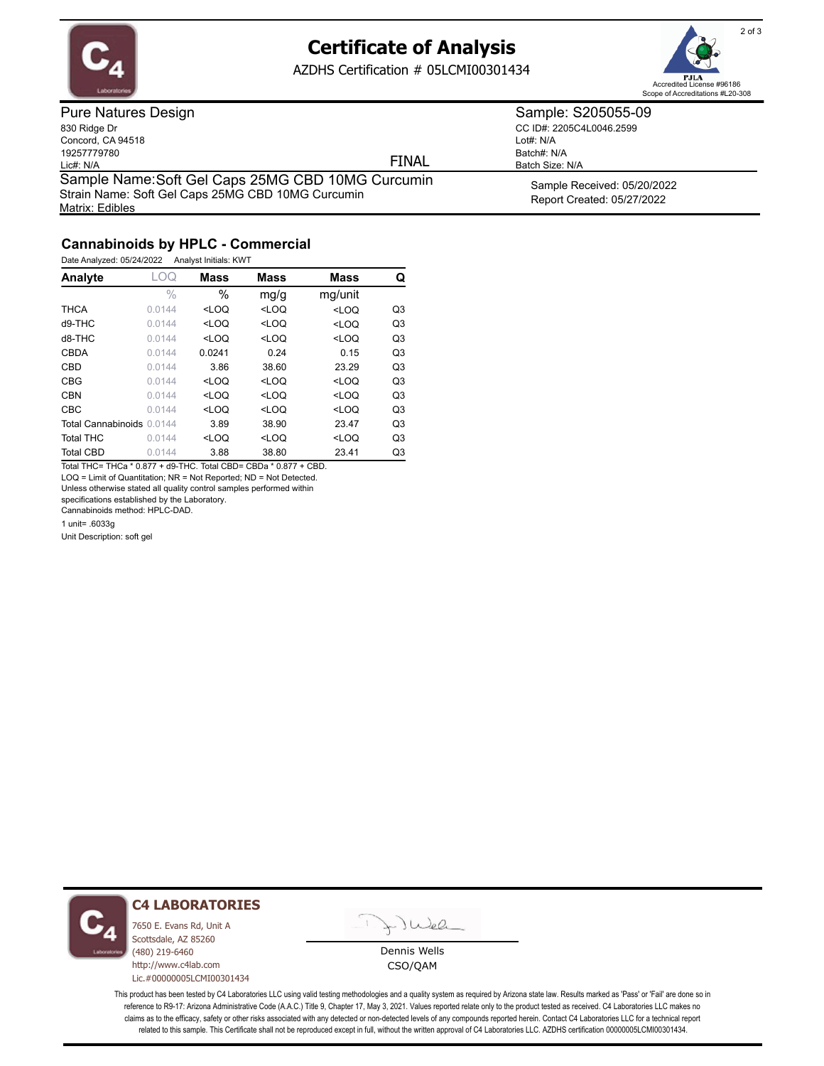

## **Certificate of Analysis**

AZDHS Certification # 05LCMI00301434



Pure Natures Design 830 Ridge Dr Concord, CA 94518 19257779780 Lic#: N/A Matrix: Edibles Sample Name: Soft Gel Caps 25MG CBD 10MG Curcumin Strain Name: Soft Gel Caps 25MG CBD 10MG Curcumin

FINAL

CC ID#: 2205C4L0046.2599 Lot#: N/A Batch#: N/A Batch Size: N/A

Sample: S205055-09

Sample Received: 05/20/2022 Report Created: 05/27/2022

### **Cannabinoids by HPLC - Commercial**

Date Analyzed: 05/24/2022 Analyst Initials: KWT

| Analyte                   | LOQ    | <b>Mass</b> | <b>Mass</b> | <b>Mass</b> | Q              |
|---------------------------|--------|-------------|-------------|-------------|----------------|
|                           | $\%$   | $\%$        | mg/g        | mg/unit     |                |
| <b>THCA</b>               | 0.0144 | $<$ LOQ     | $<$ LOQ     | $<$ LOQ     | Q <sub>3</sub> |
| $d9-THC$                  | 0.0144 | $<$ LOQ     | $<$ LOQ     | $<$ LOQ     | Q <sub>3</sub> |
| d8-THC                    | 0.0144 | $<$ LOQ     | $<$ LOQ     | $<$ LOQ     | Q <sub>3</sub> |
| <b>CBDA</b>               | 0.0144 | 0.0241      | 0.24        | 0.15        | Q <sub>3</sub> |
| <b>CBD</b>                | 0.0144 | 3.86        | 38.60       | 23.29       | Q <sub>3</sub> |
| <b>CBG</b>                | 0.0144 | $<$ LOQ     | $<$ LOQ     | $<$ LOQ     | Q <sub>3</sub> |
| <b>CBN</b>                | 0.0144 | $<$ LOQ     | $<$ LOQ     | $<$ LOQ     | Q <sub>3</sub> |
| <b>CBC</b>                | 0.0144 | $<$ LOO     | $<$ LOQ     | $<$ LOQ     | Q <sub>3</sub> |
| Total Cannabinoids 0.0144 |        | 3.89        | 38.90       | 23.47       | Q <sub>3</sub> |
| <b>Total THC</b>          | 0.0144 | $<$ LOQ     | $<$ LOQ     | $<$ LOQ     | Q <sub>3</sub> |
| <b>Total CBD</b>          | 0.0144 | 3.88        | 38.80       | 23.41       | Q3             |

Total THC= THCa \* 0.877 + d9-THC. Total CBD= CBDa \* 0.877 + CBD. LOQ = Limit of Quantitation; NR = Not Reported; ND = Not Detected.

Unless otherwise stated all quality control samples performed within

specifications established by the Laboratory.

Cannabinoids method: HPLC-DAD.

1 unit= .6033g

Unit Description: soft gel



#### **C4 LABORATORIES**

7650 E. Evans Rd, Unit A Scottsdale, AZ 85260 (480) 219-6460 http://www.c4lab.com Lic.#00000005LCMI00301434



Dennis Wells CSO/QAM

This product has been tested by C4 Laboratories LLC using valid testing methodologies and a quality system as required by Arizona state law. Results marked as 'Pass' or 'Fail' are done so in reference to R9-17: Arizona Administrative Code (A.A.C.) Title 9, Chapter 17, May 3, 2021. Values reported relate only to the product tested as received. C4 Laboratories LLC makes no claims as to the efficacy, safety or other risks associated with any detected or non-detected levels of any compounds reported herein. Contact C4 Laboratories LLC for a technical report related to this sample. This Certificate shall not be reproduced except in full, without the written approval of C4 Laboratories LLC. AZDHS certification 00000005LCMI00301434.